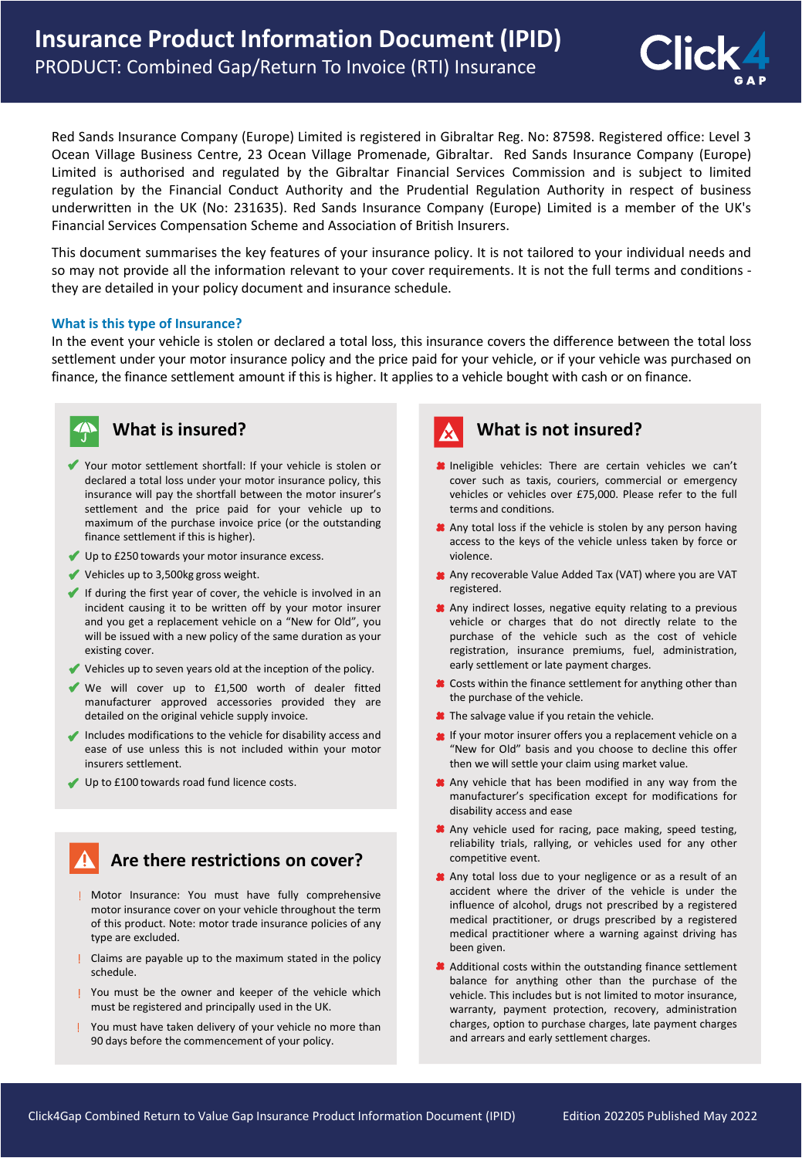

Red Sands Insurance Company (Europe) Limited is registered in Gibraltar Reg. No: 87598. Registered office: Level 3 Ocean Village Business Centre, 23 Ocean Village Promenade, Gibraltar. Red Sands Insurance Company (Europe) Limited is authorised and regulated by the Gibraltar Financial Services Commission and is subject to limited regulation by the Financial Conduct Authority and the Prudential Regulation Authority in respect of business underwritten in the UK (No: 231635). Red Sands Insurance Company (Europe) Limited is a member of the UK's Financial Services Compensation Scheme and Association of British Insurers.

This document summarises the key features of your insurance policy. It is not tailored to your individual needs and so may not provide all the information relevant to your cover requirements. It is not the full terms and conditions they are detailed in your policy document and insurance schedule.

#### **What is this type of Insurance?**

In the event your vehicle is stolen or declared a total loss, this insurance covers the difference between the total loss settlement under your motor insurance policy and the price paid for your vehicle, or if your vehicle was purchased on finance, the finance settlement amount if this is higher. It appliesto a vehicle bought with cash or on finance.



#### **What is insured?**

- Your motor settlement shortfall: If your vehicle is stolen or declared a total loss under your motor insurance policy, this insurance will pay the shortfall between the motor insurer's settlement and the price paid for your vehicle up to maximum of the purchase invoice price (or the outstanding finance settlement if this is higher).
- Up to £250 towards your motor insurance excess.
- Vehicles up to 3,500kg gross weight.
- If during the first year of cover, the vehicle is involved in an incident causing it to be written off by your motor insurer and you get a replacement vehicle on a "New for Old", you will be issued with a new policy of the same duration as your existing cover.
- Vehicles up to seven years old at the inception of the policy.
- We will cover up to £1,500 worth of dealer fitted manufacturer approved accessories provided they are detailed on the original vehicle supply invoice.
- Includes modifications to the vehicle for disability access and ease of use unless this is not included within your motor insurers settlement.
- Up to £100 towards road fund licence costs.

### **Are there restrictions on cover?**

- Motor Insurance: You must have fully comprehensive motor insurance cover on your vehicle throughout the term of this product. Note: motor trade insurance policies of any type are excluded.
- Claims are payable up to the maximum stated in the policy schedule.
- You must be the owner and keeper of the vehicle which must be registered and principally used in the UK.
- You must have taken delivery of your vehicle no more than 90 days before the commencement of your policy.

# **What is not insured?**

- **Ineligible vehicles:** There are certain vehicles we can't cover such as taxis, couriers, commercial or emergency vehicles or vehicles over £75,000. Please refer to the full terms and conditions.
- Any total loss if the vehicle is stolen by any person having access to the keys of the vehicle unless taken by force or violence.
- Any recoverable Value Added Tax (VAT) where you are VAT registered.
- Any indirect losses, negative equity relating to a previous vehicle or charges that do not directly relate to the purchase of the vehicle such as the cost of vehicle registration, insurance premiums, fuel, administration, early settlement or late payment charges.
- Costs within the finance settlement for anything other than the purchase of the vehicle.
- The salvage value if you retain the vehicle.
- If your motor insurer offers you a replacement vehicle on a "New for Old" basis and you choose to decline this offer then we will settle your claim using market value.
- Any vehicle that has been modified in any way from the manufacturer's specification except for modifications for disability access and ease
- Any vehicle used for racing, pace making, speed testing, reliability trials, rallying, or vehicles used for any other competitive event.
- Any total loss due to your negligence or as a result of an accident where the driver of the vehicle is under the influence of alcohol, drugs not prescribed by a registered medical practitioner, or drugs prescribed by a registered medical practitioner where a warning against driving has been given.
- Additional costs within the outstanding finance settlement balance for anything other than the purchase of the vehicle. This includes but is not limited to motor insurance, warranty, payment protection, recovery, administration charges, option to purchase charges, late payment charges and arrears and early settlement charges.